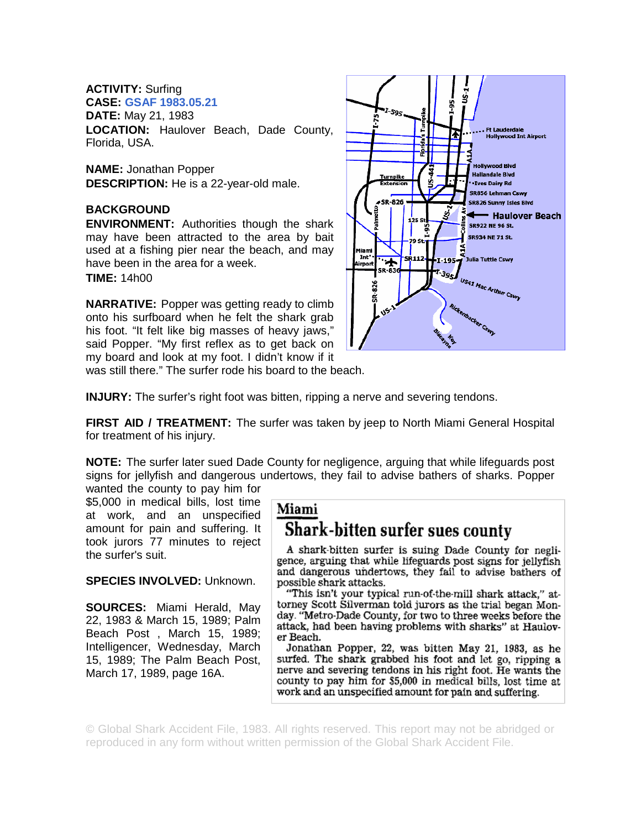## **ACTIVITY:** Surfing

**CASE: GSAF 1983.05.21**

**DATE:** May 21, 1983

**LOCATION:** Haulover Beach, Dade County, Florida, USA.

**NAME:** Jonathan Popper **DESCRIPTION:** He is a 22-year-old male.

## **BACKGROUND**

**ENVIRONMENT:** Authorities though the shark may have been attracted to the area by bait used at a fishing pier near the beach, and may have been in the area for a week. **TIME:** 14h00

**NARRATIVE:** Popper was getting ready to climb onto his surfboard when he felt the shark grab his foot. "It felt like big masses of heavy jaws," said Popper. "My first reflex as to get back on my board and look at my foot. I didn't know if it was still there." The surfer rode his board to the beach.



**INJURY:** The surfer's right foot was bitten, ripping a nerve and severing tendons.

**FIRST AID / TREATMENT:** The surfer was taken by jeep to North Miami General Hospital for treatment of his injury.

**NOTE:** The surfer later sued Dade County for negligence, arguing that while lifeguards post signs for jellyfish and dangerous undertows, they fail to advise bathers of sharks. Popper

wanted the county to pay him for \$5,000 in medical bills, lost time at work, and an unspecified amount for pain and suffering. It took jurors 77 minutes to reject the surfer's suit.

**SPECIES INVOLVED:** Unknown.

**SOURCES:** Miami Herald, May 22, 1983 & March 15, 1989; Palm Beach Post , March 15, 1989; Intelligencer, Wednesday, March 15, 1989; The Palm Beach Post, March 17, 1989, page 16A.

## Miami Shark-bitten surfer sues county

A shark-bitten surfer is suing Dade County for negligence, arguing that while lifeguards post signs for jellyfish and dangerous undertows, they fail to advise bathers of possible shark attacks.

"This isn't your typical run-of-the-mill shark attack," attorney Scott Silverman told jurors as the trial began Monday. "Metro-Dade County, for two to three weeks before the attack, had been having problems with sharks" at Haulover Beach.

Jonathan Popper, 22, was bitten May 21, 1983, as he surfed. The shark grabbed his foot and let go, ripping a nerve and severing tendons in his right foot. He wants the county to pay him for \$5,000 in medical bills, lost time at work and an unspecified amount for pain and suffering.

© Global Shark Accident File, 1983. All rights reserved. This report may not be abridged or reproduced in any form without written permission of the Global Shark Accident File.